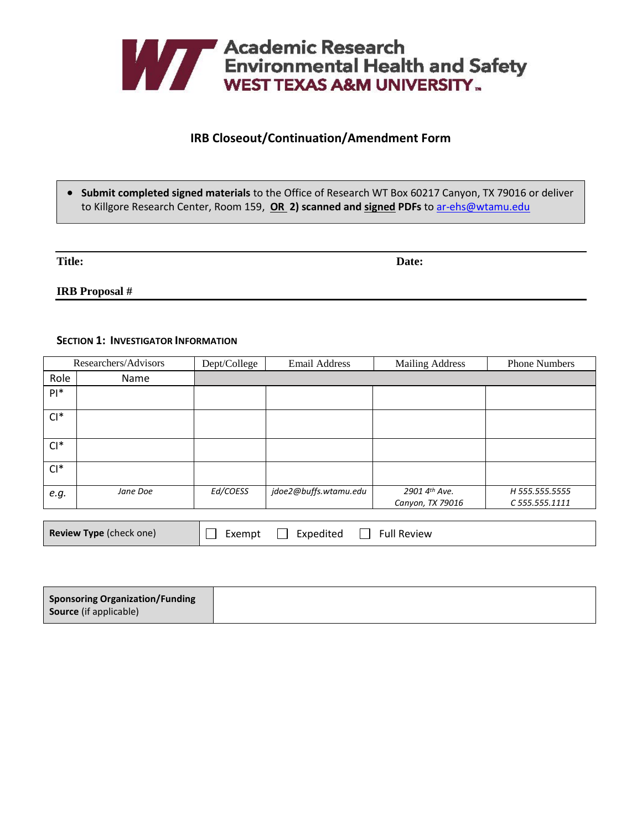

# **IRB Closeout/Continuation/Amendment Form**

 **Submit completed signed materials** to the Office of Research WT Box 60217 Canyon, TX 79016 or deliver to Killgore Research Center, Room 159, **OR 2) scanned and signed PDFs** to [ar-ehs@wtamu.edu](mailto:ar-ehs@wtamu.edu)

**Title: Date:** 

**IRB Proposal #**

# **SECTION 1: INVESTIGATOR INFORMATION**

|                                | Researchers/Advisors | Dept/College                              | <b>Email Address</b>  | <b>Mailing Address</b> | <b>Phone Numbers</b> |
|--------------------------------|----------------------|-------------------------------------------|-----------------------|------------------------|----------------------|
| Role<br>Name                   |                      |                                           |                       |                        |                      |
| $PI^*$                         |                      |                                           |                       |                        |                      |
| $Cl^*$                         |                      |                                           |                       |                        |                      |
| $Cl^*$                         |                      |                                           |                       |                        |                      |
| $Cl^*$                         |                      |                                           |                       |                        |                      |
| e.g.                           | Jane Doe             | Ed/COESS                                  | jdoe2@buffs.wtamu.edu | 2901 4th Ave.          | H 555.555.5555       |
|                                |                      |                                           |                       | Canyon, TX 79016       | C 555.555.1111       |
|                                |                      |                                           |                       |                        |                      |
| <b>Review Type (check one)</b> |                      | <b>Full Review</b><br>Expedited<br>Exempt |                       |                        |                      |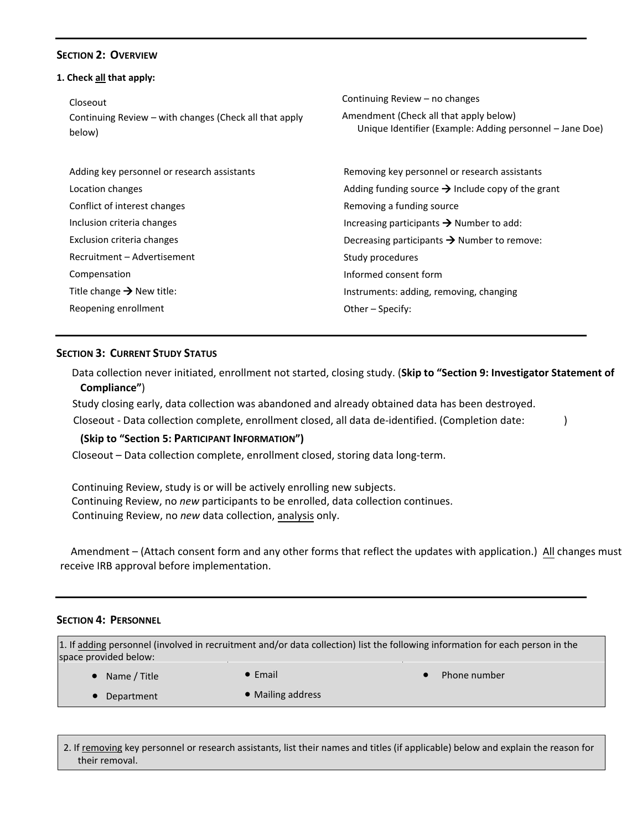# **SECTION 2: OVERVIEW**

| 1. Check all that apply:                                         |                                                                                                    |  |  |
|------------------------------------------------------------------|----------------------------------------------------------------------------------------------------|--|--|
| Closeout                                                         | Continuing Review – no changes                                                                     |  |  |
| Continuing Review – with changes (Check all that apply<br>below) | Amendment (Check all that apply below)<br>Unique Identifier (Example: Adding personnel – Jane Doe) |  |  |
| Adding key personnel or research assistants                      | Removing key personnel or research assistants                                                      |  |  |
| Location changes                                                 | Adding funding source $\rightarrow$ Include copy of the grant                                      |  |  |
| Conflict of interest changes                                     | Removing a funding source                                                                          |  |  |
| Inclusion criteria changes                                       | Increasing participants $\rightarrow$ Number to add:                                               |  |  |
| Exclusion criteria changes                                       | Decreasing participants $\rightarrow$ Number to remove:                                            |  |  |
| Recruitment – Advertisement                                      | Study procedures                                                                                   |  |  |
| Compensation                                                     | Informed consent form                                                                              |  |  |
| Title change $\rightarrow$ New title:                            | Instruments: adding, removing, changing                                                            |  |  |
| Reopening enrollment                                             | Other – Specify:                                                                                   |  |  |
|                                                                  |                                                                                                    |  |  |

# **SECTION 3: CURRENT STUDY STATUS**

Data collection never initiated, enrollment not started, closing study. (**Skip to "Section 9: Investigator Statement of Compliance"**)

Study closing early, data collection was abandoned and already obtained data has been destroyed.

Closeout - Data collection complete, enrollment closed, all data de-identified. (Completion date: )

### **(Skip to "Section 5: PARTICIPANT INFORMATION")**

Closeout – Data collection complete, enrollment closed, storing data long-term.

Continuing Review, study is or will be actively enrolling new subjects. Continuing Review, no *new* participants to be enrolled, data collection continues. Continuing Review, no *new* data collection, analysis only.

Amendment – (Attach consent form and any other forms that reflect the updates with application.) All changes must receive IRB approval before implementation.

### **SECTION 4: PERSONNEL**

1. If adding personnel (involved in recruitment and/or data collection) list the following information for each person in the space provided below:

- Name / Title
- Email

Phone number

- Department
- Mailing address
- 
- 2. If removing key personnel or research assistants, list their names and titles (if applicable) below and explain the reason for their removal.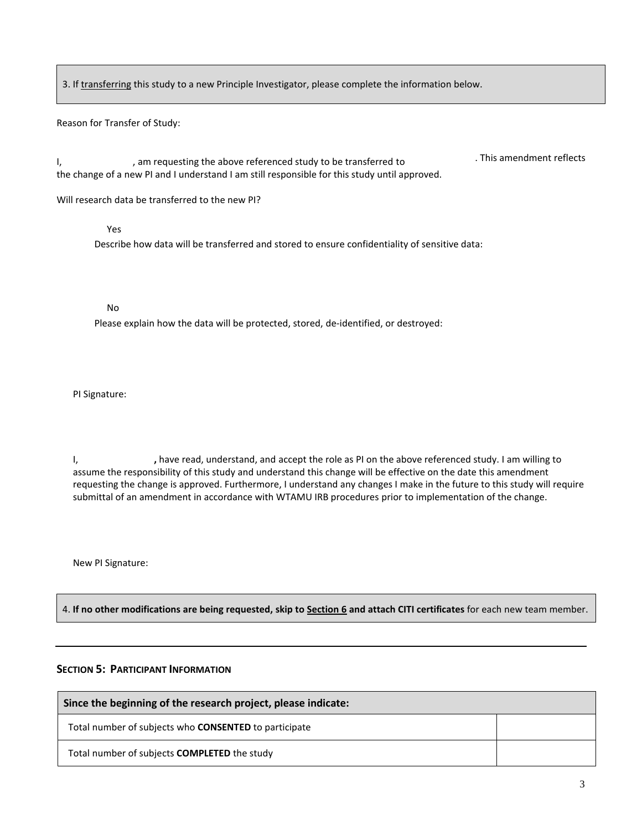3. If transferring this study to a new Principle Investigator, please complete the information below.

Reason for Transfer of Study:

. This amendment reflects I, am requesting the above referenced study to be transferred to the change of a new PI and I understand I am still responsible for this study until approved.

Will research data be transferred to the new PI?

Yes

Describe how data will be transferred and stored to ensure confidentiality of sensitive data:

No.

Please explain how the data will be protected, stored, de-identified, or destroyed:

PI Signature:

I, have read, understand, and accept the role as PI on the above referenced study. I am willing to assume the responsibility of this study and understand this change will be effective on the date this amendment requesting the change is approved. Furthermore, I understand any changes I make in the future to this study will require submittal of an amendment in accordance with WTAMU IRB procedures prior to implementation of the change.

New PI Signature:

4. **If no other modifications are being requested, skip to Section 6 and attach CITI certificates** for each new team member.

# **SECTION 5: PARTICIPANT INFORMATION**

| Since the beginning of the research project, please indicate: |  |  |
|---------------------------------------------------------------|--|--|
| Total number of subjects who <b>CONSENTED</b> to participate  |  |  |
| Total number of subjects COMPLETED the study                  |  |  |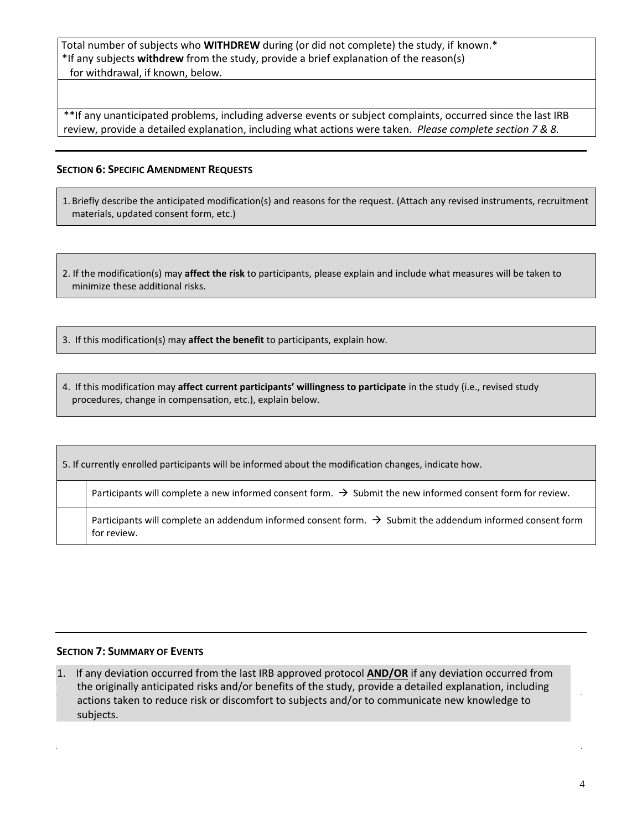Total number of subjects who **WITHDREW** during (or did not complete) the study, if known.\* \*If any subjects **withdrew** from the study, provide a brief explanation of the reason(s) for withdrawal, if known, below.

\*\*If any unanticipated problems, including adverse events or subject complaints, occurred since the last IRB review, provide a detailed explanation, including what actions were taken. *Please complete section 7 & 8.*

### **SECTION 6: SPECIFIC AMENDMENT REQUESTS**

1. Briefly describe the anticipated modification(s) and reasons for the request. (Attach any revised instruments, recruitment materials, updated consent form, etc.)

2. If the modification(s) may **affect the risk** to participants, please explain and include what measures will be taken to minimize these additional risks.

3. If this modification(s) may **affect the benefit** to participants, explain how.

4. If this modification may **affect current participants' willingness to participate** in the study (i.e., revised study procedures, change in compensation, etc.), explain below.

| 5. If currently enrolled participants will be informed about the modification changes, indicate how. |                                                                                                                                      |  |  |
|------------------------------------------------------------------------------------------------------|--------------------------------------------------------------------------------------------------------------------------------------|--|--|
|                                                                                                      | Participants will complete a new informed consent form. $\rightarrow$ Submit the new informed consent form for review.               |  |  |
|                                                                                                      | Participants will complete an addendum informed consent form. $\rightarrow$ Submit the addendum informed consent form<br>for review. |  |  |

# **SECTION 7: SUMMARY OF EVENTS**

1. If any deviation occurred from the last IRB approved protocol **AND/OR** if any deviation occurred from the originally anticipated risks and/or benefits of the study, provide a detailed explanation, including actions taken to reduce risk or discomfort to subjects and/or to communicate new knowledge to subjects.

 $\ddot{\phantom{a}}$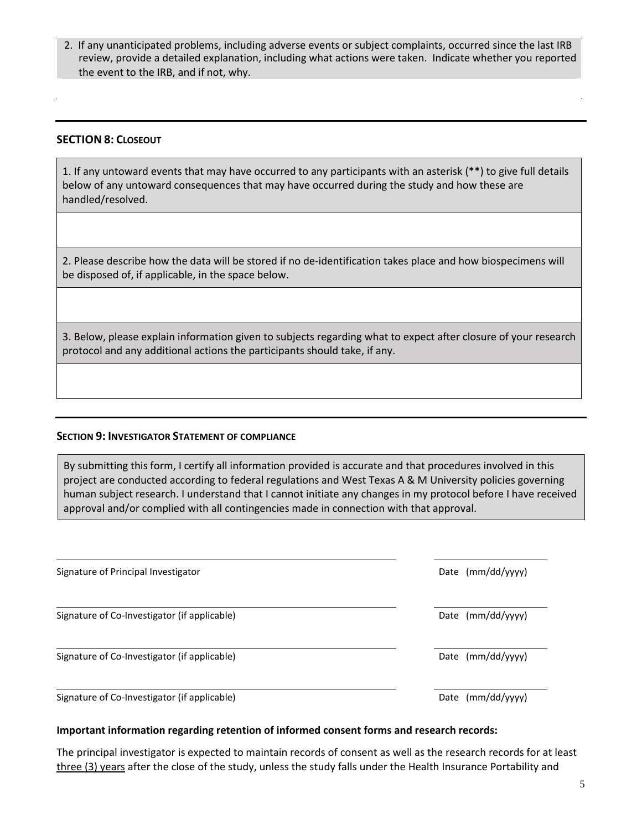2. If any unanticipated problems, including adverse events or subject complaints, occurred since the last IRB review, provide a detailed explanation, including what actions were taken. Indicate whether you reported the event to the IRB, and if not, why.

# **SECTION 8: CLOSEOUT**

1. If any untoward events that may have occurred to any participants with an asterisk (\*\*) to give full details below of any untoward consequences that may have occurred during the study and how these are handled/resolved.

2. Please describe how the data will be stored if no de-identification takes place and how biospecimens will be disposed of, if applicable, in the space below.

3. Below, please explain information given to subjects regarding what to expect after closure of your research protocol and any additional actions the participants should take, if any.

### **SECTION 9: INVESTIGATOR STATEMENT OF COMPLIANCE**

By submitting this form, I certify all information provided is accurate and that procedures involved in this project are conducted according to federal regulations and West Texas A & M University policies governing human subject research. I understand that I cannot initiate any changes in my protocol before I have received approval and/or complied with all contingencies made in connection with that approval.

| Signature of Principal Investigator          | Date $(mm/dd/yyyy)$ |
|----------------------------------------------|---------------------|
|                                              |                     |
| Signature of Co-Investigator (if applicable) | Date $(mm/dd/yyyy)$ |
| Signature of Co-Investigator (if applicable) | Date (mm/dd/yyyy)   |
| Signature of Co-Investigator (if applicable) | Date (mm/dd/yyyy)   |

### **Important information regarding retention of informed consent forms and research records:**

The principal investigator is expected to maintain records of consent as well as the research records for at least three (3) years after the close of the study, unless the study falls under the Health Insurance Portability and